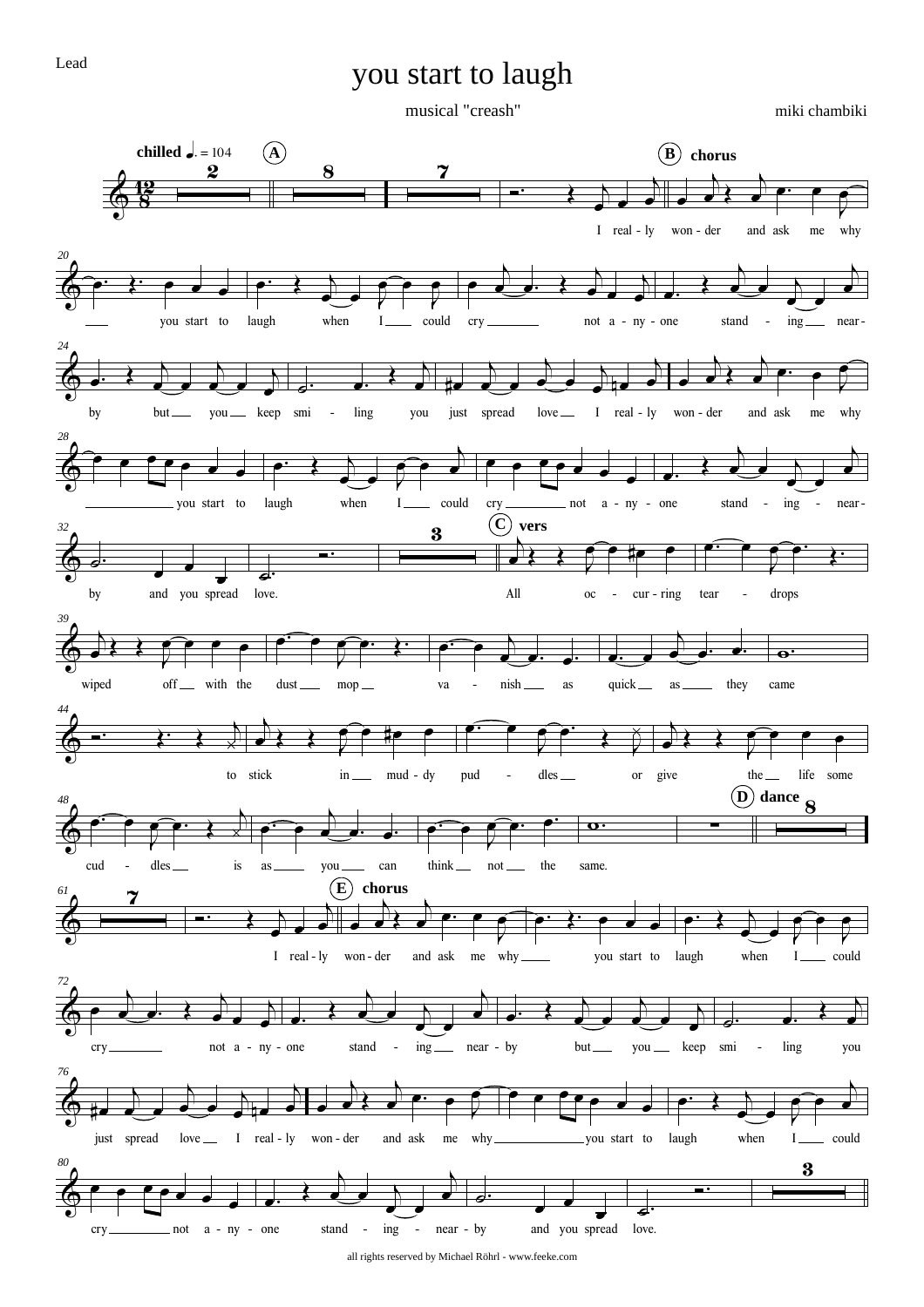## you start to laugh

Lead

## musical "creash"

miki chambiki



all rights reserved by Michael Röhrl - www.feeke.com